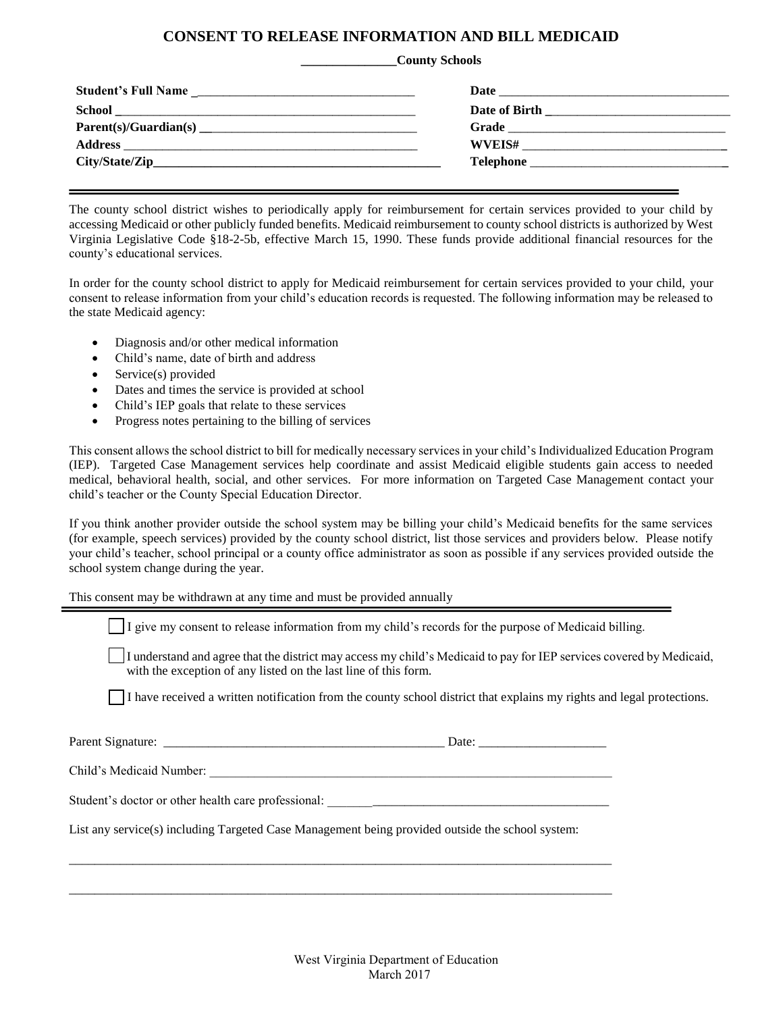## **CONSENT TO RELEASE INFORMATION AND BILL MEDICAID**

## **\_\_\_\_\_\_\_\_\_\_\_\_\_\_\_County Schools**

The county school district wishes to periodically apply for reimbursement for certain services provided to your child by accessing Medicaid or other publicly funded benefits. Medicaid reimbursement to county school districts is authorized by West Virginia Legislative Code §18-2-5b, effective March 15, 1990. These funds provide additional financial resources for the county's educational services.

In order for the county school district to apply for Medicaid reimbursement for certain services provided to your child, your consent to release information from your child's education records is requested. The following information may be released to the state Medicaid agency:

- Diagnosis and/or other medical information
- Child's name, date of birth and address
- Service(s) provided
- Dates and times the service is provided at school
- Child's IEP goals that relate to these services
- Progress notes pertaining to the billing of services

This consent allows the school district to bill for medically necessary services in your child's Individualized Education Program (IEP). Targeted Case Management services help coordinate and assist Medicaid eligible students gain access to needed medical, behavioral health, social, and other services. For more information on Targeted Case Management contact your child's teacher or the County Special Education Director.

If you think another provider outside the school system may be billing your child's Medicaid benefits for the same services (for example, speech services) provided by the county school district, list those services and providers below. Please notify your child's teacher, school principal or a county office administrator as soon as possible if any services provided outside the school system change during the year.

This consent may be withdrawn at any time and must be provided annually

I give my consent to release information from my child's records for the purpose of Medicaid billing.

I understand and agree that the district may access my child's Medicaid to pay for IEP services covered by Medicaid, with the exception of any listed on the last line of this form.

I have received a written notification from the county school district that explains my rights and legal protections.

Parent Signature: \_\_\_\_\_\_\_\_\_\_\_\_\_\_\_\_\_\_\_\_\_\_\_\_\_\_\_\_\_\_\_\_\_\_\_\_\_\_\_\_\_\_\_\_ Date: \_\_\_\_\_\_\_\_\_\_\_\_\_\_\_\_\_\_\_\_

Child's Medicaid Number:

Student's doctor or other health care professional: \_\_\_\_\_\_\_\_\_\_\_\_\_\_\_\_\_\_\_\_\_\_\_\_\_\_\_\_\_\_\_\_\_\_\_\_\_\_\_\_\_\_\_\_

List any service(s) including Targeted Case Management being provided outside the school system:

\_\_\_\_\_\_\_\_\_\_\_\_\_\_\_\_\_\_\_\_\_\_\_\_\_\_\_\_\_\_\_\_\_\_\_\_\_\_\_\_\_\_\_\_\_\_\_\_\_\_\_\_\_\_\_\_\_\_\_\_\_\_\_\_\_\_\_\_\_\_\_\_\_\_\_\_\_\_\_\_\_\_\_\_\_

\_\_\_\_\_\_\_\_\_\_\_\_\_\_\_\_\_\_\_\_\_\_\_\_\_\_\_\_\_\_\_\_\_\_\_\_\_\_\_\_\_\_\_\_\_\_\_\_\_\_\_\_\_\_\_\_\_\_\_\_\_\_\_\_\_\_\_\_\_\_\_\_\_\_\_\_\_\_\_\_\_\_\_\_\_